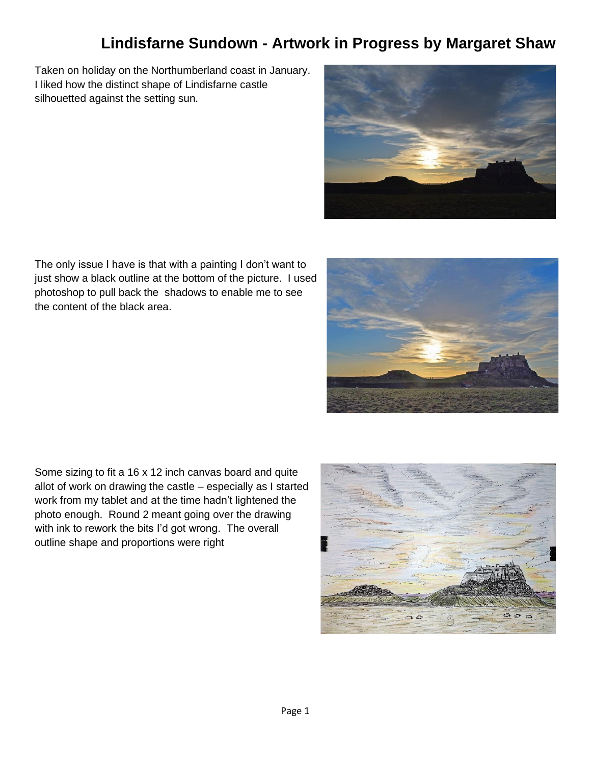## **Lindisfarne Sundown - Artwork in Progress by Margaret Shaw**

Taken on holiday on the Northumberland coast in January. I liked how the distinct shape of Lindisfarne castle silhouetted against the setting sun.



The only issue I have is that with a painting I don't want to just show a black outline at the bottom of the picture. I used photoshop to pull back the shadows to enable me to see the content of the black area.

Some sizing to fit a 16 x 12 inch canvas board and quite allot of work on drawing the castle – especially as I started work from my tablet and at the time hadn't lightened the photo enough. Round 2 meant going over the drawing with ink to rework the bits I'd got wrong. The overall outline shape and proportions were right



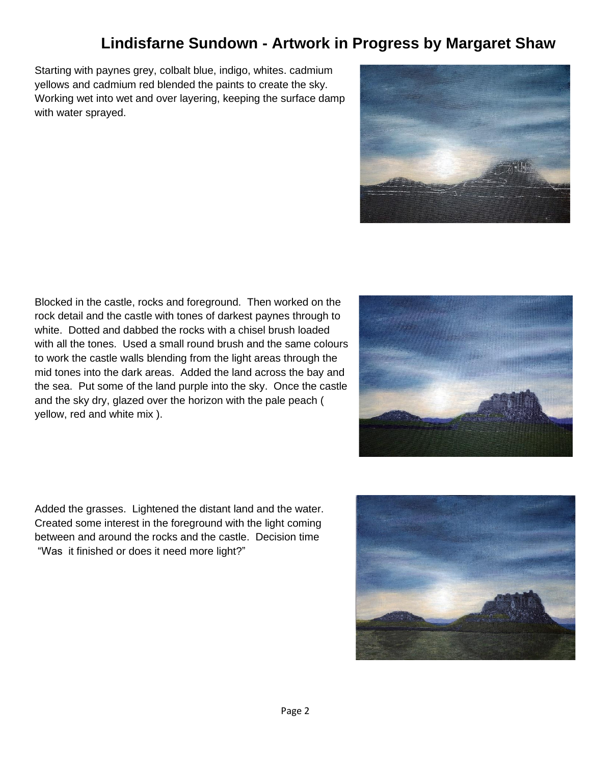## **Lindisfarne Sundown - Artwork in Progress by Margaret Shaw**

Starting with paynes grey, colbalt blue, indigo, whites. cadmium yellows and cadmium red blended the paints to create the sky. Working wet into wet and over layering, keeping the surface damp with water sprayed.



Blocked in the castle, rocks and foreground. Then worked on the rock detail and the castle with tones of darkest paynes through to white. Dotted and dabbed the rocks with a chisel brush loaded with all the tones. Used a small round brush and the same colours to work the castle walls blending from the light areas through the mid tones into the dark areas. Added the land across the bay and the sea. Put some of the land purple into the sky. Once the castle and the sky dry, glazed over the horizon with the pale peach ( yellow, red and white mix ).



Added the grasses. Lightened the distant land and the water. Created some interest in the foreground with the light coming between and around the rocks and the castle. Decision time "Was it finished or does it need more light?"